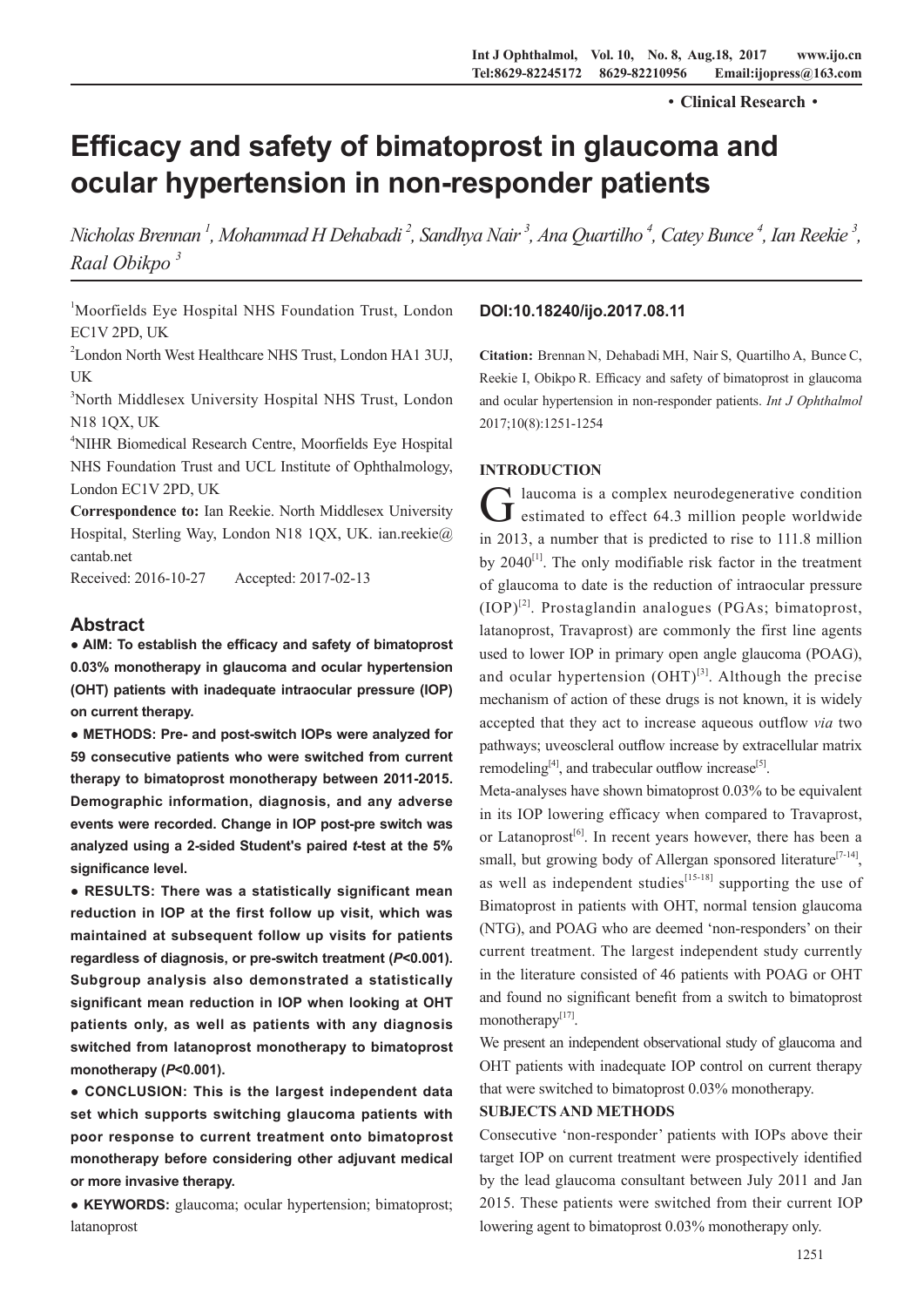·**Clinical Research**·

# **Efficacy and safety of bimatoprost in glaucoma and ocular hypertension in non-responder patients**

*Nicholas Brennan 1 , Mohammad H Dehabadi 2 , Sandhya Nair 3 , Ana Quartilho 4 , Catey Bunce 4 , Ian Reekie 3 , Raal Obikpo 3*

<sup>1</sup>Moorfields Eye Hospital NHS Foundation Trust, London EC1V 2PD, UK

2 London North West Healthcare NHS Trust, London HA1 3UJ, UK

3 North Middlesex University Hospital NHS Trust, London N18 1QX, UK

4 NIHR Biomedical Research Centre, Moorfields Eye Hospital NHS Foundation Trust and UCL Institute of Ophthalmology, London EC1V 2PD, UK

**Correspondence to:** Ian Reekie. North Middlesex University Hospital, Sterling Way, London N18 1QX, UK. ian.reekie@ cantab.net

Received: 2016-10-27 Accepted: 2017-02-13

# **Abstract**

**● AIM: To establish the efficacy and safety of bimatoprost 0.03% monotherapy in glaucoma and ocular hypertension (OHT) patients with inadequate intraocular pressure (IOP) on current therapy.** 

**● METHODS: Pre- and post-switch IOPs were analyzed for 59 consecutive patients who were switched from current therapy to bimatoprost monotherapy between 2011-2015. Demographic information, diagnosis, and any adverse events were recorded. Change in IOP post-pre switch was analyzed using a 2-sided Student's paired** *t***-test at the 5% significance level.** 

**● RESULTS: There was a statistically significant mean reduction in IOP at the first follow up visit, which was maintained at subsequent follow up visits for patients regardless of diagnosis, or pre-switch treatment (***P***<0.001). Subgroup analysis also demonstrated a statistically significant mean reduction in IOP when looking at OHT patients only, as well as patients with any diagnosis switched from latanoprost monotherapy to bimatoprost monotherapy (***P***<0.001).**

**● CONCLUSION: This is the largest independent data set which supports switching glaucoma patients with poor response to current treatment onto bimatoprost monotherapy before considering other adjuvant medical or more invasive therapy.**

**● KEYWORDS:** glaucoma; ocular hypertension; bimatoprost; latanoprost

# **DOI:10.18240/ijo.2017.08.11**

**Citation:** Brennan N, Dehabadi MH, Nair S, Quartilho A, Bunce C, Reekie I, Obikpo R. Efficacy and safety of bimatoprost in glaucoma and ocular hypertension in non-responder patients. *Int J Ophthalmol* 2017;10(8):1251-1254

# **INTRODUCTION**

Glaucoma is a complex neurodegenerative condition<br>
Glassimated to effect 64.3 million people worldwide in 2013, a number that is predicted to rise to 111.8 million by  $2040^{[1]}$ . The only modifiable risk factor in the treatment of glaucoma to date is the reduction of intraocular pressure  $(IOP)^{[2]}$ . Prostaglandin analogues (PGAs; bimatoprost, latanoprost, Travaprost) are commonly the first line agents used to lower IOP in primary open angle glaucoma (POAG), and ocular hypertension  $(OHT)^{[3]}$ . Although the precise mechanism of action of these drugs is not known, it is widely accepted that they act to increase aqueous outflow *via* two pathways; uveoscleral outflow increase by extracellular matrix remodeling $[4]$ , and trabecular outflow increase $[5]$ .

Meta-analyses have shown bimatoprost 0.03% to be equivalent in its IOP lowering efficacy when compared to Travaprost, or Latanoprost<sup>[6]</sup>. In recent years however, there has been a small, but growing body of Allergan sponsored literature<sup>[7-14]</sup>, as well as independent studies $[15-18]$  supporting the use of Bimatoprost in patients with OHT, normal tension glaucoma (NTG), and POAG who are deemed 'non-responders' on their current treatment. The largest independent study currently in the literature consisted of 46 patients with POAG or OHT and found no significant benefit from a switch to bimatoprost monotherapy $[17]$ .

We present an independent observational study of glaucoma and OHT patients with inadequate IOP control on current therapy that were switched to bimatoprost 0.03% monotherapy.

# **SUBJECTS AND METHODS**

Consecutive 'non-responder' patients with IOPs above their target IOP on current treatment were prospectively identified by the lead glaucoma consultant between July 2011 and Jan 2015. These patients were switched from their current IOP lowering agent to bimatoprost 0.03% monotherapy only.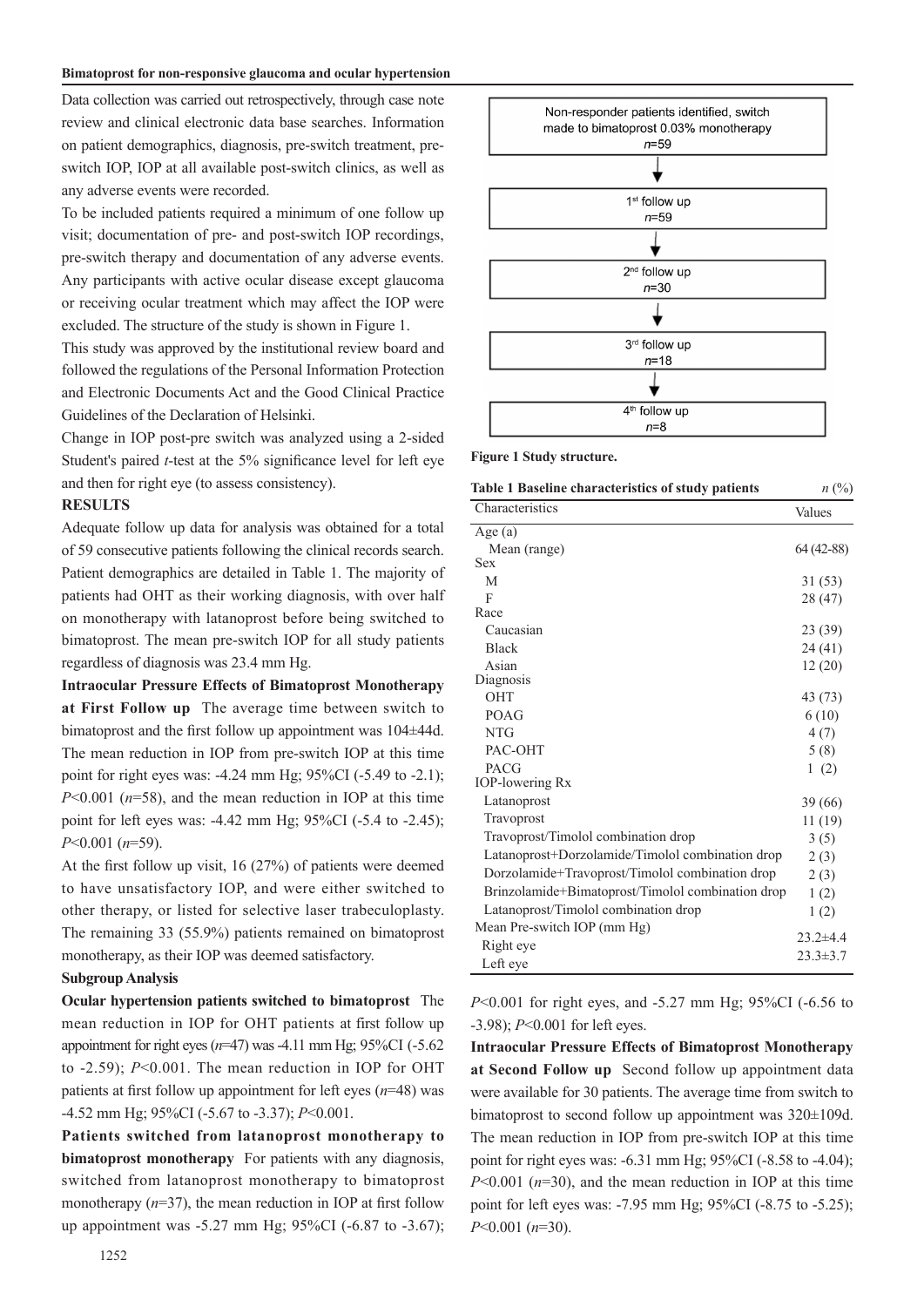#### **Bimatoprost for non-responsive glaucoma and ocular hypertension**

Data collection was carried out retrospectively, through case note review and clinical electronic data base searches. Information on patient demographics, diagnosis, pre-switch treatment, preswitch IOP, IOP at all available post-switch clinics, as well as any adverse events were recorded.

To be included patients required a minimum of one follow up visit; documentation of pre- and post-switch IOP recordings, pre-switch therapy and documentation of any adverse events. Any participants with active ocular disease except glaucoma or receiving ocular treatment which may affect the IOP were excluded. The structure of the study is shown in Figure 1.

This study was approved by the institutional review board and followed the regulations of the Personal Information Protection and Electronic Documents Act and the Good Clinical Practice Guidelines of the Declaration of Helsinki.

Change in IOP post-pre switch was analyzed using a 2-sided Student's paired *t*-test at the 5% significance level for left eye and then for right eye (to assess consistency).

#### **RESULTS**

Adequate follow up data for analysis was obtained for a total of 59 consecutive patients following the clinical records search. Patient demographics are detailed in Table 1. The majority of patients had OHT as their working diagnosis, with over half on monotherapy with latanoprost before being switched to bimatoprost. The mean pre-switch IOP for all study patients regardless of diagnosis was 23.4 mm Hg.

**Intraocular Pressure Effects of Bimatoprost Monotherapy at First Follow up** The average time between switch to bimatoprost and the first follow up appointment was 104±44d. The mean reduction in IOP from pre-switch IOP at this time point for right eyes was: -4.24 mm Hg; 95%CI (-5.49 to -2.1); *P*<0.001 (*n*=58), and the mean reduction in IOP at this time point for left eyes was: -4.42 mm Hg; 95%CI (-5.4 to -2.45); *P*<0.001 (*n*=59).

At the first follow up visit, 16 (27%) of patients were deemed to have unsatisfactory IOP, and were either switched to other therapy, or listed for selective laser trabeculoplasty. The remaining 33 (55.9%) patients remained on bimatoprost monotherapy, as their IOP was deemed satisfactory.

# **Subgroup Analysis**

**Ocular hypertension patients switched to bimatoprost** The mean reduction in IOP for OHT patients at first follow up appointment for right eyes (*n*=47) was -4.11 mm Hg; 95%CI (-5.62 to -2.59); *P*<0.001. The mean reduction in IOP for OHT patients at first follow up appointment for left eyes (*n*=48) was -4.52 mm Hg; 95%CI (-5.67 to -3.37); *P*<0.001.

**Patients switched from latanoprost monotherapy to bimatoprost monotherapy** For patients with any diagnosis, switched from latanoprost monotherapy to bimatoprost monotherapy ( $n=37$ ), the mean reduction in IOP at first follow up appointment was -5.27 mm Hg; 95%CI (-6.87 to -3.67);



**Figure 1 Study structure.** 

| <b>Table 1 Baseline characteristics of study patients</b> | $n\ (\%)$      |
|-----------------------------------------------------------|----------------|
| Characteristics                                           | Values         |
| Age $(a)$                                                 |                |
| Mean (range)                                              | $64(42-88)$    |
| <b>Sex</b>                                                |                |
| M                                                         | 31 (53)        |
| F                                                         | 28 (47)        |
| Race                                                      |                |
| Caucasian                                                 | 23 (39)        |
| <b>Black</b>                                              | 24 (41)        |
| Asian                                                     | 12(20)         |
| Diagnosis                                                 |                |
| <b>OHT</b>                                                | 43 (73)        |
| POAG                                                      | 6(10)          |
| <b>NTG</b>                                                | 4(7)           |
| PAC-OHT                                                   | 5(8)           |
| <b>PACG</b>                                               | 1(2)           |
| <b>IOP-lowering Rx</b>                                    |                |
| Latanoprost                                               | 39 (66)        |
| Travoprost                                                | 11(19)         |
| Travoprost/Timolol combination drop                       | 3(5)           |
| Latanoprost+Dorzolamide/Timolol combination drop          | 2(3)           |
| Dorzolamide+Travoprost/Timolol combination drop           | 2(3)           |
| Brinzolamide+Bimatoprost/Timolol combination drop         | 1(2)           |
| Latanoprost/Timolol combination drop                      | 1(2)           |
| Mean Pre-switch IOP (mm Hg)                               |                |
| Right eye                                                 | $23.2 + 4.4$   |
| Left eye                                                  | $23.3 \pm 3.7$ |

*P*<0.001 for right eyes, and -5.27 mm Hg; 95%CI (-6.56 to -3.98); *P*<0.001 for left eyes.

**Intraocular Pressure Effects of Bimatoprost Monotherapy at Second Follow up** Second follow up appointment data were available for 30 patients. The average time from switch to bimatoprost to second follow up appointment was 320±109d. The mean reduction in IOP from pre-switch IOP at this time point for right eyes was: -6.31 mm Hg; 95%CI (-8.58 to -4.04); *P*<0.001 (*n*=30), and the mean reduction in IOP at this time point for left eyes was: -7.95 mm Hg; 95%CI (-8.75 to -5.25); *P*<0.001 (*n*=30).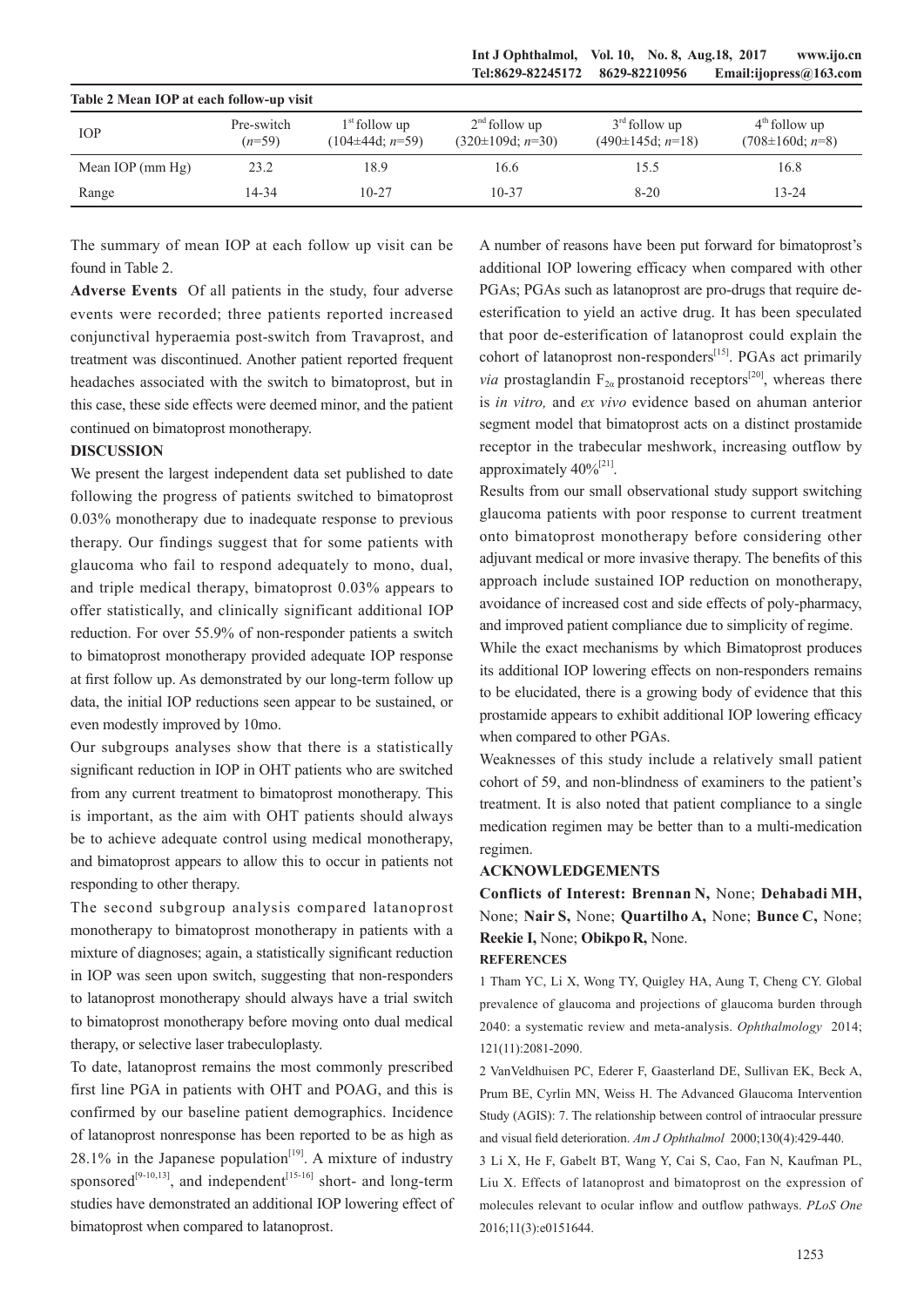**Int J Ophthalmol, Vol. 10, No. 8, Aug.18, 2017 www.ijo.cn Tel:8629-82245172 8629-82210956 Email:ijopress@163.com**

| Table 2 Mean IOP at each follow-up visit |                        |                                         |                                         |                                          |                                          |  |
|------------------------------------------|------------------------|-----------------------------------------|-----------------------------------------|------------------------------------------|------------------------------------------|--|
| <b>IOP</b>                               | Pre-switch<br>$(n=59)$ | $1st$ follow up<br>$(104\pm 44d; n=59)$ | $2nd$ follow up<br>$(320\pm109d; n=30)$ | $3rd$ follow up<br>$(490\pm 145d; n=18)$ | $4th$ follow up<br>$(708 \pm 160d; n=8)$ |  |
| Mean IOP $(\text{mm Hg})$                | 23.2                   | 18.9                                    | 16.6                                    | 15.5                                     | 16.8                                     |  |
| Range                                    | 14-34                  | $10 - 27$                               | $10 - 37$                               | $8 - 20$                                 | $13 - 24$                                |  |

**Table 2 Mean IOP at each follow-up visit**

The summary of mean IOP at each follow up visit can be found in Table 2.

**Adverse Events** Of all patients in the study, four adverse events were recorded; three patients reported increased conjunctival hyperaemia post-switch from Travaprost, and treatment was discontinued. Another patient reported frequent headaches associated with the switch to bimatoprost, but in this case, these side effects were deemed minor, and the patient continued on bimatoprost monotherapy.

### **DISCUSSION**

We present the largest independent data set published to date following the progress of patients switched to bimatoprost 0.03% monotherapy due to inadequate response to previous therapy. Our findings suggest that for some patients with glaucoma who fail to respond adequately to mono, dual, and triple medical therapy, bimatoprost 0.03% appears to offer statistically, and clinically significant additional IOP reduction. For over 55.9% of non-responder patients a switch to bimatoprost monotherapy provided adequate IOP response at first follow up. As demonstrated by our long-term follow up data, the initial IOP reductions seen appear to be sustained, or even modestly improved by 10mo.

Our subgroups analyses show that there is a statistically significant reduction in IOP in OHT patients who are switched from any current treatment to bimatoprost monotherapy. This is important, as the aim with OHT patients should always be to achieve adequate control using medical monotherapy, and bimatoprost appears to allow this to occur in patients not responding to other therapy.

The second subgroup analysis compared latanoprost monotherapy to bimatoprost monotherapy in patients with a mixture of diagnoses; again, a statistically significant reduction in IOP was seen upon switch, suggesting that non-responders to latanoprost monotherapy should always have a trial switch to bimatoprost monotherapy before moving onto dual medical therapy, or selective laser trabeculoplasty.

To date, latanoprost remains the most commonly prescribed first line PGA in patients with OHT and POAG, and this is confirmed by our baseline patient demographics. Incidence of latanoprost nonresponse has been reported to be as high as  $28.1\%$  in the Japanese population<sup>[19]</sup>. A mixture of industry sponsored<sup>[9-10,13]</sup>, and independent<sup>[15-16]</sup> short- and long-term studies have demonstrated an additional IOP lowering effect of bimatoprost when compared to latanoprost.

A number of reasons have been put forward for bimatoprost's additional IOP lowering efficacy when compared with other PGAs; PGAs such as latanoprost are pro-drugs that require deesterification to yield an active drug. It has been speculated that poor de-esterification of latanoprost could explain the cohort of latanoprost non-responders<sup>[15]</sup>. PGAs act primarily *via* prostaglandin  $F_{2\alpha}$  prostanoid receptors<sup>[20]</sup>, whereas there is *in vitro,* and *ex vivo* evidence based on ahuman anterior segment model that bimatoprost acts on a distinct prostamide receptor in the trabecular meshwork, increasing outflow by approximately  $40\%^{[21]}$ .

Results from our small observational study support switching glaucoma patients with poor response to current treatment onto bimatoprost monotherapy before considering other adjuvant medical or more invasive therapy. The benefits of this approach include sustained IOP reduction on monotherapy, avoidance of increased cost and side effects of poly-pharmacy, and improved patient compliance due to simplicity of regime.

While the exact mechanisms by which Bimatoprost produces its additional IOP lowering effects on non-responders remains to be elucidated, there is a growing body of evidence that this prostamide appears to exhibit additional IOP lowering efficacy when compared to other PGAs.

Weaknesses of this study include a relatively small patient cohort of 59, and non-blindness of examiners to the patient's treatment. It is also noted that patient compliance to a single medication regimen may be better than to a multi-medication regimen.

# **ACKNOWLEDGEMENTS**

**Conflicts of Interest: Brennan N,** None; **Dehabadi MH,** None; **Nair S,** None; **Quartilho A,** None; **Bunce C,** None; **Reekie I,** None; **ObikpoR,** None. **REFERENCES**

1 Tham YC, Li X, Wong TY, Quigley HA, Aung T, Cheng CY. Global prevalence of glaucoma and projections of glaucoma burden through 2040: a systematic review and meta-analysis. *Ophthalmology* 2014; 121(11):2081-2090.

2 VanVeldhuisen PC, Ederer F, Gaasterland DE, Sullivan EK, Beck A, Prum BE, Cyrlin MN, Weiss H. The Advanced Glaucoma Intervention Study (AGIS): 7. The relationship between control of intraocular pressure and visual field deterioration. *Am J Ophthalmol* 2000;130(4):429-440.

3 Li X, He F, Gabelt BT, Wang Y, Cai S, Cao, Fan N, Kaufman PL, Liu X. Effects of latanoprost and bimatoprost on the expression of molecules relevant to ocular inflow and outflow pathways. *PLoS One*  2016;11(3):e0151644.